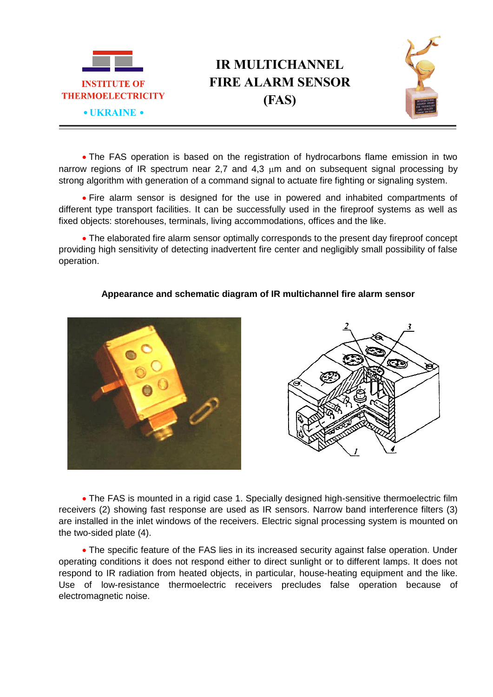

## **IR MULTICHANNEL FIRE ALARM SENSOR (FAS)**



 The FAS operation is based on the registration of hydrocarbons flame emission in two narrow regions of IR spectrum near 2.7 and 4.3 um and on subsequent signal processing by strong algorithm with generation of a command signal to actuate fire fighting or signaling system.

 Fire alarm sensor is designed for the use in powered and inhabited compartments of different type transport facilities. It can be successfully used in the fireproof systems as well as fixed objects: storehouses, terminals, living accommodations, offices and the like.

 The elaborated fire alarm sensor optimally corresponds to the present day fireproof concept providing high sensitivity of detecting inadvertent fire center and negligibly small possibility of false operation.

## **Appearance and schematic diagram of IR multichannel fire alarm sensor**





 The FAS is mounted in a rigid case 1. Specially designed high-sensitive thermoelectric film receivers (2) showing fast response are used as IR sensors. Narrow band interference filters (3) are installed in the inlet windows of the receivers. Electric signal processing system is mounted on the two-sided plate (4).

• The specific feature of the FAS lies in its increased security against false operation. Under operating conditions it does not respond either to direct sunlight or to different lamps. It does not respond to IR radiation from heated objects, in particular, house-heating equipment and the like. Use of low-resistance thermoelectric receivers precludes false operation because of electromagnetic noise.